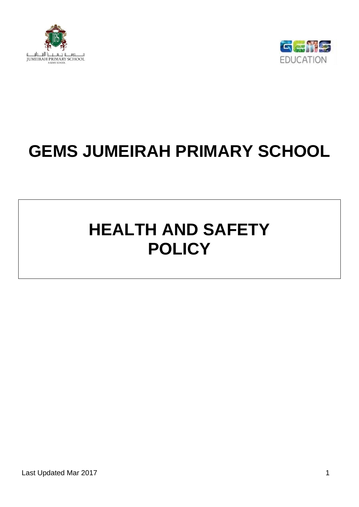



# **GEMS JUMEIRAH PRIMARY SCHOOL**

# **HEALTH AND SAFETY POLICY**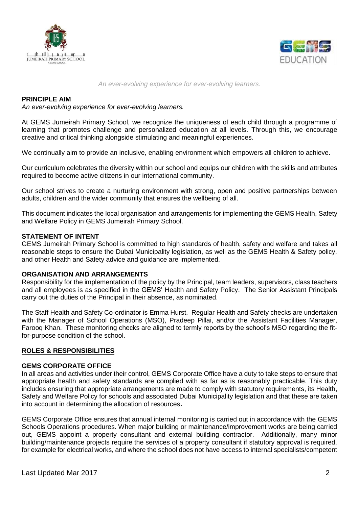



#### *An ever-evolving experience for ever-evolving learners.*

#### **PRINCIPLE AIM**

*An ever-evolving experience for ever-evolving learners.*

At GEMS Jumeirah Primary School, we recognize the uniqueness of each child through a programme of learning that promotes challenge and personalized education at all levels. Through this, we encourage creative and critical thinking alongside stimulating and meaningful experiences.

We continually aim to provide an inclusive, enabling environment which empowers all children to achieve.

Our curriculum celebrates the diversity within our school and equips our children with the skills and attributes required to become active citizens in our international community.

Our school strives to create a nurturing environment with strong, open and positive partnerships between adults, children and the wider community that ensures the wellbeing of all.

This document indicates the local organisation and arrangements for implementing the GEMS Health, Safety and Welfare Policy in GEMS Jumeirah Primary School.

#### **STATEMENT OF INTENT**

GEMS Jumeirah Primary School is committed to high standards of health, safety and welfare and takes all reasonable steps to ensure the Dubai Municipality legislation, as well as the GEMS Health & Safety policy, and other Health and Safety advice and guidance are implemented.

## **ORGANISATION AND ARRANGEMENTS**

Responsibility for the implementation of the policy by the Principal, team leaders, supervisors, class teachers and all employees is as specified in the GEMS' Health and Safety Policy. The Senior Assistant Principals carry out the duties of the Principal in their absence, as nominated.

The Staff Health and Safety Co-ordinator is Emma Hurst. Regular Health and Safety checks are undertaken with the Manager of School Operations (MSO), Pradeep Pillai, and/or the Assistant Facilities Manager, Farooq Khan. These monitoring checks are aligned to termly reports by the school's MSO regarding the fitfor-purpose condition of the school.

#### **ROLES & RESPONSIBILITIES**

#### **GEMS CORPORATE OFFICE**

In all areas and activities under their control, GEMS Corporate Office have a duty to take steps to ensure that appropriate health and safety standards are complied with as far as is reasonably practicable. This duty includes ensuring that appropriate arrangements are made to comply with statutory requirements, its Health, Safety and Welfare Policy for schools and associated Dubai Municipality legislation and that these are taken into account in determining the allocation of resources**.**

GEMS Corporate Office ensures that annual internal monitoring is carried out in accordance with the GEMS Schools Operations procedures. When major building or maintenance/improvement works are being carried out, GEMS appoint a property consultant and external building contractor. Additionally, many minor building/maintenance projects require the services of a property consultant if statutory approval is required, for example for electrical works, and where the school does not have access to internal specialists/competent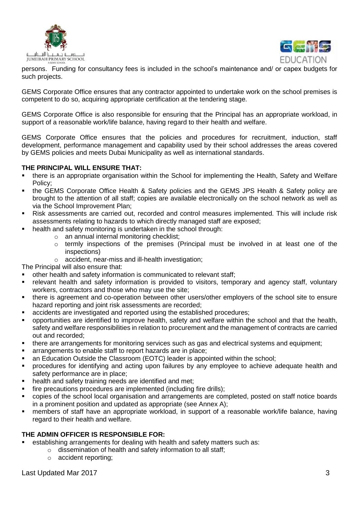



persons. Funding for consultancy fees is included in the school's maintenance and/ or capex budgets for such projects.

GEMS Corporate Office ensures that any contractor appointed to undertake work on the school premises is competent to do so, acquiring appropriate certification at the tendering stage.

GEMS Corporate Office is also responsible for ensuring that the Principal has an appropriate workload, in support of a reasonable work/life balance, having regard to their health and welfare.

GEMS Corporate Office ensures that the policies and procedures for recruitment, induction, staff development, performance management and capability used by their school addresses the areas covered by GEMS policies and meets Dubai Municipality as well as international standards.

## **THE PRINCIPAL WILL ENSURE THAT:**

- there is an appropriate organisation within the School for implementing the Health, Safety and Welfare Policy;
- the GEMS Corporate Office Health & Safety policies and the GEMS JPS Health & Safety policy are brought to the attention of all staff; copies are available electronically on the school network as well as via the School Improvement Plan;
- Risk assessments are carried out, recorded and control measures implemented. This will include risk assessments relating to hazards to which directly managed staff are exposed;
- **health and safety monitoring is undertaken in the school through:** 
	- o an annual internal monitoring checklist;
	- o termly inspections of the premises (Principal must be involved in at least one of the inspections)
	- o accident, near-miss and ill-health investigation;

The Principal will also ensure that:

- other health and safety information is communicated to relevant staff;
- relevant health and safety information is provided to visitors, temporary and agency staff, voluntary workers, contractors and those who may use the site;
- there is agreement and co-operation between other users/other employers of the school site to ensure hazard reporting and joint risk assessments are recorded;
- accidents are investigated and reported using the established procedures;
- opportunities are identified to improve health, safety and welfare within the school and that the health, safety and welfare responsibilities in relation to procurement and the management of contracts are carried out and recorded;
- there are arrangements for monitoring services such as gas and electrical systems and equipment;
- arrangements to enable staff to report hazards are in place;
- an Education Outside the Classroom (EOTC) leader is appointed within the school;
- procedures for identifying and acting upon failures by any employee to achieve adequate health and safety performance are in place;
- health and safety training needs are identified and met;
- fire precautions procedures are implemented (including fire drills);
- copies of the school local organisation and arrangements are completed, posted on staff notice boards in a prominent position and updated as appropriate (see Annex A);
- members of staff have an appropriate workload, in support of a reasonable work/life balance, having regard to their health and welfare.

## **THE ADMIN OFFICER IS RESPONSIBLE FOR:**

- establishing arrangements for dealing with health and safety matters such as:
	- o dissemination of health and safety information to all staff;
		- o accident reporting;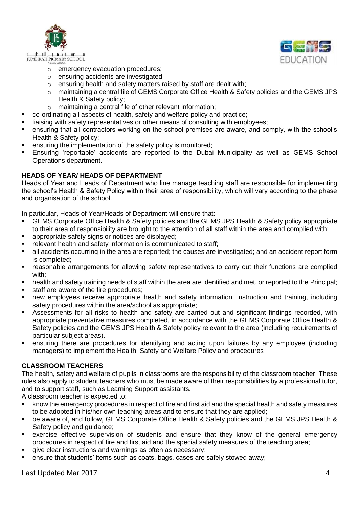



- o emergency evacuation procedures;
- o ensuring accidents are investigated;
- $\circ$  ensuring health and safety matters raised by staff are dealt with:
- o maintaining a central file of GEMS Corporate Office Health & Safety policies and the GEMS JPS Health & Safety policy;
- o maintaining a central file of other relevant information;
- co-ordinating all aspects of health, safety and welfare policy and practice;
- liaising with safety representatives or other means of consulting with employees;
- ensuring that all contractors working on the school premises are aware, and comply, with the school's Health & Safety policy;
- ensuring the implementation of the safety policy is monitored;
- Ensuring 'reportable' accidents are reported to the Dubai Municipality as well as GEMS School Operations department.

# **HEADS OF YEAR/ HEADS OF DEPARTMENT**

Heads of Year and Heads of Department who line manage teaching staff are responsible for implementing the school's Health & Safety Policy within their area of responsibility, which will vary according to the phase and organisation of the school.

In particular, Heads of Year/Heads of Department will ensure that:

- GEMS Corporate Office Health & Safety policies and the GEMS JPS Health & Safety policy appropriate to their area of responsibility are brought to the attention of all staff within the area and complied with;
- appropriate safety signs or notices are displayed;
- relevant health and safety information is communicated to staff;
- all accidents occurring in the area are reported; the causes are investigated; and an accident report form is completed;
- reasonable arrangements for allowing safety representatives to carry out their functions are complied with;
- health and safety training needs of staff within the area are identified and met, or reported to the Principal;
- staff are aware of the fire procedures;
- new employees receive appropriate health and safety information, instruction and training, including safety procedures within the area/school as appropriate;
- Assessments for all risks to health and safety are carried out and significant findings recorded, with appropriate preventative measures completed, in accordance with the GEMS Corporate Office Health & Safety policies and the GEMS JPS Health & Safety policy relevant to the area (including requirements of particular subject areas).
- ensuring there are procedures for identifying and acting upon failures by any employee (including managers) to implement the Health, Safety and Welfare Policy and procedures

# **CLASSROOM TEACHERS**

The health, safety and welfare of pupils in classrooms are the responsibility of the classroom teacher. These rules also apply to student teachers who must be made aware of their responsibilities by a professional tutor, and to support staff, such as Learning Support assistants.

A classroom teacher is expected to:

- know the emergency procedures in respect of fire and first aid and the special health and safety measures to be adopted in his/her own teaching areas and to ensure that they are applied;
- be aware of, and follow, GEMS Corporate Office Health & Safety policies and the GEMS JPS Health & Safety policy and guidance;
- exercise effective supervision of students and ensure that they know of the general emergency procedures in respect of fire and first aid and the special safety measures of the teaching area;
- give clear instructions and warnings as often as necessary;
- ensure that students' items such as coats, bags, cases are safely stowed away;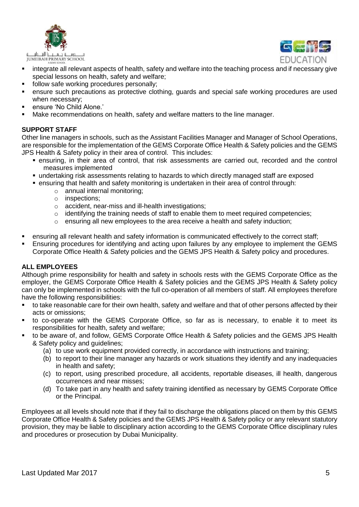



- **EXT** integrate all relevant aspects of health, safety and welfare into the teaching process and if necessary give special lessons on health, safety and welfare;
- follow safe working procedures personally;
- ensure such precautions as protective clothing, guards and special safe working procedures are used when necessary;
- ensure 'No Child Alone.'
- Make recommendations on health, safety and welfare matters to the line manager.

# **SUPPORT STAFF**

Other line managers in schools, such as the Assistant Facilities Manager and Manager of School Operations, are responsible for the implementation of the GEMS Corporate Office Health & Safety policies and the GEMS JPS Health & Safety policy in their area of control. This includes:

- ensuring, in their area of control, that risk assessments are carried out, recorded and the control measures implemented
- undertaking risk assessments relating to hazards to which directly managed staff are exposed
- ensuring that health and safety monitoring is undertaken in their area of control through:
	- o annual internal monitoring;
	- o inspections;
	- o accident, near-miss and ill-health investigations;
	- o identifying the training needs of staff to enable them to meet required competencies;
	- $\circ$  ensuring all new employees to the area receive a health and safety induction:
- ensuring all relevant health and safety information is communicated effectively to the correct staff;
- Ensuring procedures for identifying and acting upon failures by any employee to implement the GEMS Corporate Office Health & Safety policies and the GEMS JPS Health & Safety policy and procedures.

## **ALL EMPLOYEES**

Although prime responsibility for health and safety in schools rests with the GEMS Corporate Office as the employer, the GEMS Corporate Office Health & Safety policies and the GEMS JPS Health & Safety policy can only be implemented in schools with the full co-operation of all members of staff. All employees therefore have the following responsibilities:

- to take reasonable care for their own health, safety and welfare and that of other persons affected by their acts or omissions;
- to co-operate with the GEMS Corporate Office, so far as is necessary, to enable it to meet its responsibilities for health, safety and welfare;
- to be aware of, and follow, GEMS Corporate Office Health & Safety policies and the GEMS JPS Health & Safety policy and guidelines;
	- (a) to use work equipment provided correctly, in accordance with instructions and training;
	- (b) to report to their line manager any hazards or work situations they identify and any inadequacies in health and safety;
	- (c) to report, using prescribed procedure, all accidents, reportable diseases, ill health, dangerous occurrences and near misses;
	- (d) To take part in any health and safety training identified as necessary by GEMS Corporate Office or the Principal.

Employees at all levels should note that if they fail to discharge the obligations placed on them by this GEMS Corporate Office Health & Safety policies and the GEMS JPS Health & Safety policy or any relevant statutory provision, they may be liable to disciplinary action according to the GEMS Corporate Office disciplinary rules and procedures or prosecution by Dubai Municipality.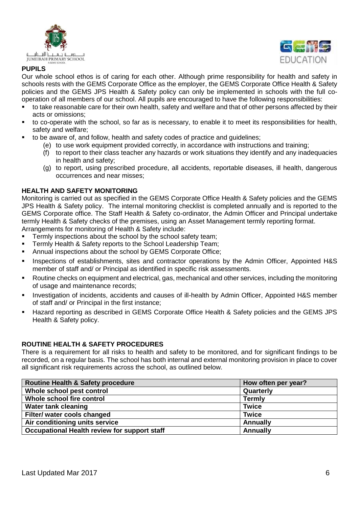



# **PUPILS**

Our whole school ethos is of caring for each other. Although prime responsibility for health and safety in schools rests with the GEMS Corporate Office as the employer, the GEMS Corporate Office Health & Safety policies and the GEMS JPS Health & Safety policy can only be implemented in schools with the full cooperation of all members of our school. All pupils are encouraged to have the following responsibilities:

- to take reasonable care for their own health, safety and welfare and that of other persons affected by their acts or omissions;
- to co-operate with the school, so far as is necessary, to enable it to meet its responsibilities for health, safety and welfare;
- to be aware of, and follow, health and safety codes of practice and guidelines;
	- (e) to use work equipment provided correctly, in accordance with instructions and training;
	- (f) to report to their class teacher any hazards or work situations they identify and any inadequacies in health and safety;
	- (g) to report, using prescribed procedure, all accidents, reportable diseases, ill health, dangerous occurrences and near misses;

# **HEALTH AND SAFETY MONITORING**

Monitoring is carried out as specified in the GEMS Corporate Office Health & Safety policies and the GEMS JPS Health & Safety policy. The internal monitoring checklist is completed annually and is reported to the GEMS Corporate office. The Staff Health & Safety co-ordinator, the Admin Officer and Principal undertake termly Health & Safety checks of the premises, using an Asset Management termly reporting format. Arrangements for monitoring of Health & Safety include:

- Termly inspections about the school by the school safety team;
- Termly Health & Safety reports to the School Leadership Team;
- Annual inspections about the school by GEMS Corporate Office;
- **Inspections of establishments, sites and contractor operations by the Admin Officer, Appointed H&S** member of staff and/ or Principal as identified in specific risk assessments.
- Routine checks on equipment and electrical, gas, mechanical and other services, including the monitoring of usage and maintenance records;
- **Investigation of incidents, accidents and causes of ill-health by Admin Officer, Appointed H&S member** of staff and/ or Principal in the first instance;
- Hazard reporting as described in GEMS Corporate Office Health & Safety policies and the GEMS JPS Health & Safety policy.

## **ROUTINE HEALTH & SAFETY PROCEDURES**

There is a requirement for all risks to health and safety to be monitored, and for significant findings to be recorded, on a regular basis. The school has both internal and external monitoring provision in place to cover all significant risk requirements across the school, as outlined below.

| <b>Routine Health &amp; Safety procedure</b> | How often per year? |
|----------------------------------------------|---------------------|
| Whole school pest control                    | Quarterly           |
| Whole school fire control                    | <b>Termly</b>       |
| Water tank cleaning                          | <b>Twice</b>        |
| Filter/ water cools changed                  | <b>Twice</b>        |
| Air conditioning units service               | <b>Annually</b>     |
| Occupational Health review for support staff | <b>Annually</b>     |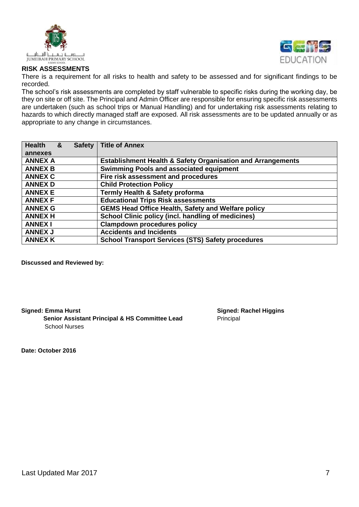



## **RISK ASSESSMENTS**

There is a requirement for all risks to health and safety to be assessed and for significant findings to be recorded.

The school's risk assessments are completed by staff vulnerable to specific risks during the working day, be they on site or off site. The Principal and Admin Officer are responsible for ensuring specific risk assessments are undertaken (such as school trips or Manual Handling) and for undertaking risk assessments relating to hazards to which directly managed staff are exposed. All risk assessments are to be updated annually or as appropriate to any change in circumstances.

| <b>Health</b><br>&<br>Safety | <b>Title of Annex</b>                                       |
|------------------------------|-------------------------------------------------------------|
| annexes                      |                                                             |
| <b>ANNEX A</b>               | Establishment Health & Safety Organisation and Arrangements |
| <b>ANNEX B</b>               | <b>Swimming Pools and associated equipment</b>              |
| <b>ANNEX C</b>               | Fire risk assessment and procedures                         |
| <b>ANNEX D</b>               | <b>Child Protection Policy</b>                              |
| <b>ANNEX E</b>               | Termly Health & Safety proforma                             |
| <b>ANNEX F</b>               | <b>Educational Trips Risk assessments</b>                   |
| <b>ANNEX G</b>               | <b>GEMS Head Office Health, Safety and Welfare policy</b>   |
| <b>ANNEX H</b>               | School Clinic policy (incl. handling of medicines)          |
| <b>ANNEX I</b>               | <b>Clampdown procedures policy</b>                          |
| <b>ANNEX J</b>               | <b>Accidents and Incidents</b>                              |
| <b>ANNEX K</b>               | <b>School Transport Services (STS) Safety procedures</b>    |

**Discussed and Reviewed by:**

**Senior Assistant Principal & HS Committee Lead Principal Principal** School Nurses

**Signed: Emma Hurst Signed: Rachel Higgins**

**Date: October 2016**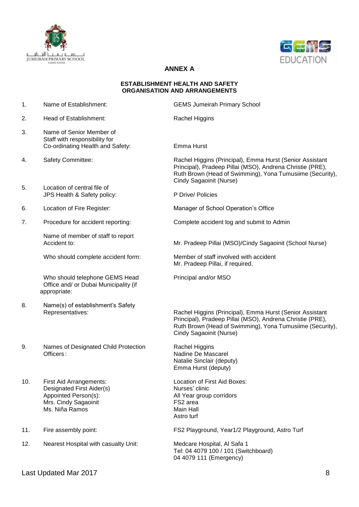



## **ANNEX A**

#### **ESTABLISHMENT HEALTH AND SAFETY ORGANISATION AND ARRANGEMENTS**

- 
- 2. Head of Establishment: Rachel Higgins
- 3. Name of Senior Member of Staff with responsibility for Co-ordinating Health and Safety: Emma Hurst
- 
- 5. Location of central file of JPS Health & Safety policy: P Drive/ Policies
- 
- 

Name of member of staff to report

Who should telephone GEMS Head Principal and/or MSO Office and/ or Dubai Municipality (if appropriate:

- 8. Name(s) of establishment's Safety
- 9. Names of Designated Child Protection Rachel Higgins Officers : Nadine De Mascarel
- 10. First Aid Arrangements: Location of First Aid Boxes: Designated First Aider(s) Nurses' clinic Appointed Person(s): All Year group corridors Mrs. Cindy Sagaoinit FS2 area Ms. Niña Ramos Main Hall
- 
- 12. Nearest Hospital with casualty Unit: Medcare Hospital, Al Safa 1

1. Name of Establishment: GEMS Jumeirah Primary School

4. Safety Committee: Rachel Higgins (Principal), Emma Hurst (Senior Assistant Principal), Pradeep Pillai (MSO), Andrena Christie (PRE), Ruth Brown (Head of Swimming), Yona Tumusiime (Security), Cindy Sagaoinit (Nurse)

6. Location of Fire Register: Manager of School Operation's Office

7. Procedure for accident reporting: Complete accident log and submit to Admin

Accident to: Mr. Pradeep Pillai (MSO)/Cindy Sagaoinit (School Nurse)

Who should complete accident form: Member of staff involved with accident Mr. Pradeep Pillai, if required.

Representatives: Rachel Higgins (Principal), Emma Hurst (Senior Assistant Principal), Pradeep Pillai (MSO), Andrena Christie (PRE), Ruth Brown (Head of Swimming), Yona Tumusiime (Security), Cindy Sagaoinit (Nurse)

> Natalie Sinclair (deputy) Emma Hurst (deputy)

Astro turf

11. Fire assembly point: FS2 Playground, Year1/2 Playground, Astro Turf

Tel: 04 4079 100 / 101 (Switchboard) 04 4079 111 (Emergency)